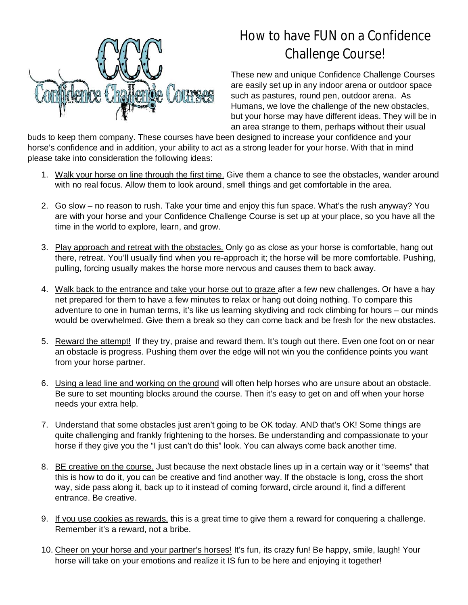

## How to have FUN on a Confidence Challenge Course!

These new and unique Confidence Challenge Courses are easily set up in any indoor arena or outdoor space such as pastures, round pen, outdoor arena. As Humans, we love the challenge of the new obstacles, but your horse may have different ideas. They will be in an area strange to them, perhaps without their usual

buds to keep them company. These courses have been designed to increase your confidence and your horse's confidence and in addition, your ability to act as a strong leader for your horse. With that in mind please take into consideration the following ideas:

- 1. Walk your horse on line through the first time. Give them a chance to see the obstacles, wander around with no real focus. Allow them to look around, smell things and get comfortable in the area.
- 2. Go slow no reason to rush. Take your time and enjoy this fun space. What's the rush anyway? You are with your horse and your Confidence Challenge Course is set up at your place, so you have all the time in the world to explore, learn, and grow.
- 3. Play approach and retreat with the obstacles. Only go as close as your horse is comfortable, hang out there, retreat. You'll usually find when you re-approach it; the horse will be more comfortable. Pushing, pulling, forcing usually makes the horse more nervous and causes them to back away.
- 4. Walk back to the entrance and take your horse out to graze after a few new challenges. Or have a hay net prepared for them to have a few minutes to relax or hang out doing nothing. To compare this adventure to one in human terms, it's like us learning skydiving and rock climbing for hours – our minds would be overwhelmed. Give them a break so they can come back and be fresh for the new obstacles.
- 5. Reward the attempt! If they try, praise and reward them. It's tough out there. Even one foot on or near an obstacle is progress. Pushing them over the edge will not win you the confidence points you want from your horse partner.
- 6. Using a lead line and working on the ground will often help horses who are unsure about an obstacle. Be sure to set mounting blocks around the course. Then it's easy to get on and off when your horse needs your extra help.
- 7. Understand that some obstacles just aren't going to be OK today. AND that's OK! Some things are quite challenging and frankly frightening to the horses. Be understanding and compassionate to your horse if they give you the "I just can't do this" look. You can always come back another time.
- 8. BE creative on the course. Just because the next obstacle lines up in a certain way or it "seems" that this is how to do it, you can be creative and find another way. If the obstacle is long, cross the short way, side pass along it, back up to it instead of coming forward, circle around it, find a different entrance. Be creative.
- 9. If you use cookies as rewards, this is a great time to give them a reward for conquering a challenge. Remember it's a reward, not a bribe.
- 10. Cheer on your horse and your partner's horses! It's fun, its crazy fun! Be happy, smile, laugh! Your horse will take on your emotions and realize it IS fun to be here and enjoying it together!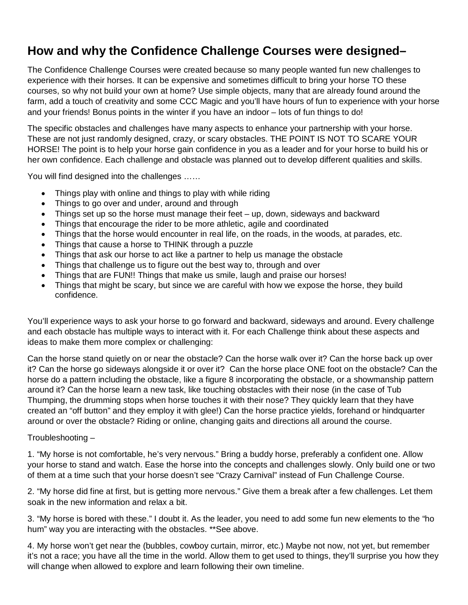## **How and why the Confidence Challenge Courses were designed–**

The Confidence Challenge Courses were created because so many people wanted fun new challenges to experience with their horses. It can be expensive and sometimes difficult to bring your horse TO these courses, so why not build your own at home? Use simple objects, many that are already found around the farm, add a touch of creativity and some CCC Magic and you'll have hours of fun to experience with your horse and your friends! Bonus points in the winter if you have an indoor – lots of fun things to do!

The specific obstacles and challenges have many aspects to enhance your partnership with your horse. These are not just randomly designed, crazy, or scary obstacles. THE POINT IS NOT TO SCARE YOUR HORSE! The point is to help your horse gain confidence in you as a leader and for your horse to build his or her own confidence. Each challenge and obstacle was planned out to develop different qualities and skills.

You will find designed into the challenges ……

- Things play with online and things to play with while riding
- Things to go over and under, around and through
- Things set up so the horse must manage their feet up, down, sideways and backward
- Things that encourage the rider to be more athletic, agile and coordinated
- Things that the horse would encounter in real life, on the roads, in the woods, at parades, etc.
- Things that cause a horse to THINK through a puzzle
- Things that ask our horse to act like a partner to help us manage the obstacle
- Things that challenge us to figure out the best way to, through and over
- Things that are FUN!! Things that make us smile, laugh and praise our horses!
- Things that might be scary, but since we are careful with how we expose the horse, they build confidence.

You'll experience ways to ask your horse to go forward and backward, sideways and around. Every challenge and each obstacle has multiple ways to interact with it. For each Challenge think about these aspects and ideas to make them more complex or challenging:

Can the horse stand quietly on or near the obstacle? Can the horse walk over it? Can the horse back up over it? Can the horse go sideways alongside it or over it? Can the horse place ONE foot on the obstacle? Can the horse do a pattern including the obstacle, like a figure 8 incorporating the obstacle, or a showmanship pattern around it? Can the horse learn a new task, like touching obstacles with their nose (in the case of Tub Thumping, the drumming stops when horse touches it with their nose? They quickly learn that they have created an "off button" and they employ it with glee!) Can the horse practice yields, forehand or hindquarter around or over the obstacle? Riding or online, changing gaits and directions all around the course.

## Troubleshooting –

1. "My horse is not comfortable, he's very nervous." Bring a buddy horse, preferably a confident one. Allow your horse to stand and watch. Ease the horse into the concepts and challenges slowly. Only build one or two of them at a time such that your horse doesn't see "Crazy Carnival" instead of Fun Challenge Course.

2. "My horse did fine at first, but is getting more nervous." Give them a break after a few challenges. Let them soak in the new information and relax a bit.

3. "My horse is bored with these." I doubt it. As the leader, you need to add some fun new elements to the "ho hum" way you are interacting with the obstacles. \*\*See above.

4. My horse won't get near the (bubbles, cowboy curtain, mirror, etc.) Maybe not now, not yet, but remember it's not a race; you have all the time in the world. Allow them to get used to things, they'll surprise you how they will change when allowed to explore and learn following their own timeline.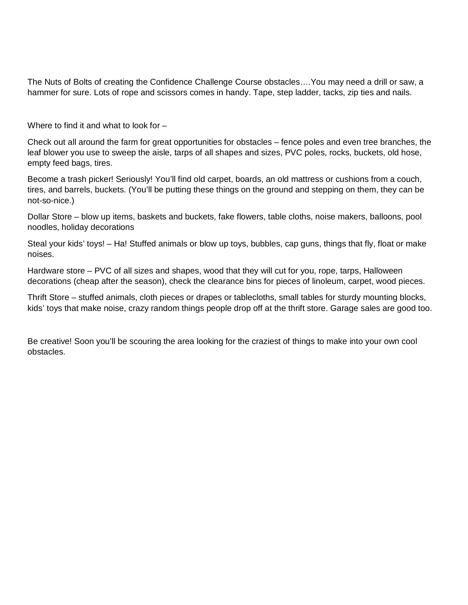The Nuts of Bolts of creating the Confidence Challenge Course obstacles….You may need a drill or saw, a hammer for sure. Lots of rope and scissors comes in handy. Tape, step ladder, tacks, zip ties and nails.

Where to find it and what to look for –

Check out all around the farm for great opportunities for obstacles – fence poles and even tree branches, the leaf blower you use to sweep the aisle, tarps of all shapes and sizes, PVC poles, rocks, buckets, old hose, empty feed bags, tires.

Become a trash picker! Seriously! You'll find old carpet, boards, an old mattress or cushions from a couch, tires, and barrels, buckets. (You'll be putting these things on the ground and stepping on them, they can be not-so-nice.)

Dollar Store – blow up items, baskets and buckets, fake flowers, table cloths, noise makers, balloons, pool noodles, holiday decorations

Steal your kids' toys! – Ha! Stuffed animals or blow up toys, bubbles, cap guns, things that fly, float or make noises.

Hardware store – PVC of all sizes and shapes, wood that they will cut for you, rope, tarps, Halloween decorations (cheap after the season), check the clearance bins for pieces of linoleum, carpet, wood pieces.

Thrift Store – stuffed animals, cloth pieces or drapes or tablecloths, small tables for sturdy mounting blocks, kids' toys that make noise, crazy random things people drop off at the thrift store. Garage sales are good too.

Be creative! Soon you'll be scouring the area looking for the craziest of things to make into your own cool obstacles.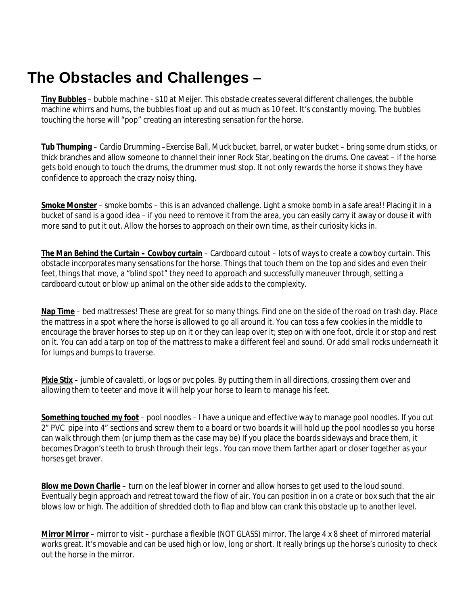## **The Obstacles and Challenges –**

**Tiny Bubbles** – bubble machine - \$10 at Meijer. This obstacle creates several different challenges, the bubble machine whirrs and hums, the bubbles float up and out as much as 10 feet. It's constantly moving. The bubbles touching the horse will "pop" creating an interesting sensation for the horse.

**Tub Thumping** – Cardio Drumming –Exercise Ball, Muck bucket, barrel, or water bucket – bring some drum sticks, or thick branches and allow someone to channel their inner Rock Star, beating on the drums. One caveat – if the horse gets bold enough to touch the drums, the drummer must stop. It not only rewards the horse it shows they have confidence to approach the crazy noisy thing.

**Smoke Monster** – smoke bombs – this is an advanced challenge. Light a smoke bomb in a safe area!! Placing it in a bucket of sand is a good idea – if you need to remove it from the area, you can easily carry it away or douse it with more sand to put it out. Allow the horses to approach on their own time, as their curiosity kicks in.

**The Man Behind the Curtain – Cowboy curtain** – Cardboard cutout – lots of ways to create a cowboy curtain. This obstacle incorporates many sensations for the horse. Things that touch them on the top and sides and even their feet, things that move, a "blind spot" they need to approach and successfully maneuver through, setting a cardboard cutout or blow up animal on the other side adds to the complexity.

**Nap Time** – bed mattresses! These are great for so many things. Find one on the side of the road on trash day. Place the mattress in a spot where the horse is allowed to go all around it. You can toss a few cookies in the middle to encourage the braver horses to step up on it or they can leap over it; step on with one foot, circle it or stop and rest on it. You can add a tarp on top of the mattress to make a different feel and sound. Or add small rocks underneath it for lumps and bumps to traverse.

**Pixie Stix** – jumble of cavaletti, or logs or pvc poles. By putting them in all directions, crossing them over and allowing them to teeter and move it will help your horse to learn to manage his feet.

**Something touched my foot** – pool noodles – I have a unique and effective way to manage pool noodles. If you cut 2" PVC pipe into 4" sections and screw them to a board or two boards it will hold up the pool noodles so you horse can walk through them (or jump them as the case may be) If you place the boards sideways and brace them, it becomes Dragon's teeth to brush through their legs . You can move them farther apart or closer together as your horses get braver.

**Blow me Down Charlie** – turn on the leaf blower in corner and allow horses to get used to the loud sound. Eventually begin approach and retreat toward the flow of air. You can position in on a crate or box such that the air blows low or high. The addition of shredded cloth to flap and blow can crank this obstacle up to another level.

**Mirror Mirror** – mirror to visit – purchase a flexible (NOT GLASS) mirror. The large 4 x 8 sheet of mirrored material works great. It's movable and can be used high or low, long or short. It really brings up the horse's curiosity to check out the horse in the mirror.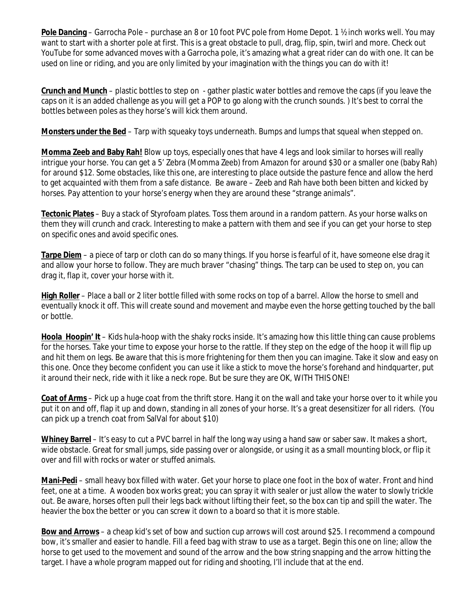**Pole Dancing** – Garrocha Pole – purchase an 8 or 10 foot PVC pole from Home Depot. 1 ½ inch works well. You may want to start with a shorter pole at first. This is a great obstacle to pull, drag, flip, spin, twirl and more. Check out YouTube for some advanced moves with a Garrocha pole, it's amazing what a great rider can do with one. It can be used on line or riding, and you are only limited by your imagination with the things you can do with it!

**Crunch and Munch** – plastic bottles to step on - gather plastic water bottles and remove the caps (if you leave the caps on it is an added challenge as you will get a POP to go along with the crunch sounds. ) It's best to corral the bottles between poles as they horse's will kick them around.

**Monsters under the Bed** – Tarp with squeaky toys underneath. Bumps and lumps that squeal when stepped on.

**Momma Zeeb and Baby Rah!** Blow up toys, especially ones that have 4 legs and look similar to horses will really intrigue your horse. You can get a 5' Zebra (Momma Zeeb) from Amazon for around \$30 or a smaller one (baby Rah) for around \$12. Some obstacles, like this one, are interesting to place outside the pasture fence and allow the herd to get acquainted with them from a safe distance. Be aware – Zeeb and Rah have both been bitten and kicked by horses. Pay attention to your horse's energy when they are around these "strange animals".

**Tectonic Plates** – Buy a stack of Styrofoam plates. Toss them around in a random pattern. As your horse walks on them they will crunch and crack. Interesting to make a pattern with them and see if you can get your horse to step on specific ones and avoid specific ones.

**Tarpe Diem** – a piece of tarp or cloth can do so many things. If you horse is fearful of it, have someone else drag it and allow your horse to follow. They are much braver "chasing" things. The tarp can be used to step on, you can drag it, flap it, cover your horse with it.

**High Roller** – Place a ball or 2 liter bottle filled with some rocks on top of a barrel. Allow the horse to smell and eventually knock it off. This will create sound and movement and maybe even the horse getting touched by the ball or bottle.

**Hoola Hoopin' It** – Kids hula-hoop with the shaky rocks inside. It's amazing how this little thing can cause problems for the horses. Take your time to expose your horse to the rattle. If they step on the edge of the hoop it will flip up and hit them on legs. Be aware that this is more frightening for them then you can imagine. Take it slow and easy on this one. Once they become confident you can use it like a stick to move the horse's forehand and hindquarter, put it around their neck, ride with it like a neck rope. But be sure they are OK, WITH THIS ONE!

**Coat of Arms** – Pick up a huge coat from the thrift store. Hang it on the wall and take your horse over to it while you put it on and off, flap it up and down, standing in all zones of your horse. It's a great desensitizer for all riders. (You can pick up a trench coat from SalVal for about \$10)

**Whiney Barrel** – It's easy to cut a PVC barrel in half the long way using a hand saw or saber saw. It makes a short, wide obstacle. Great for small jumps, side passing over or alongside, or using it as a small mounting block, or flip it over and fill with rocks or water or stuffed animals.

**Mani-Pedi** – small heavy box filled with water. Get your horse to place one foot in the box of water. Front and hind feet, one at a time. A wooden box works great; you can spray it with sealer or just allow the water to slowly trickle out. Be aware, horses often pull their legs back without lifting their feet, so the box can tip and spill the water. The heavier the box the better or you can screw it down to a board so that it is more stable.

**Bow and Arrows** – a cheap kid's set of bow and suction cup arrows will cost around \$25. I recommend a compound bow, it's smaller and easier to handle. Fill a feed bag with straw to use as a target. Begin this one on line; allow the horse to get used to the movement and sound of the arrow and the bow string snapping and the arrow hitting the target. I have a whole program mapped out for riding and shooting, I'll include that at the end.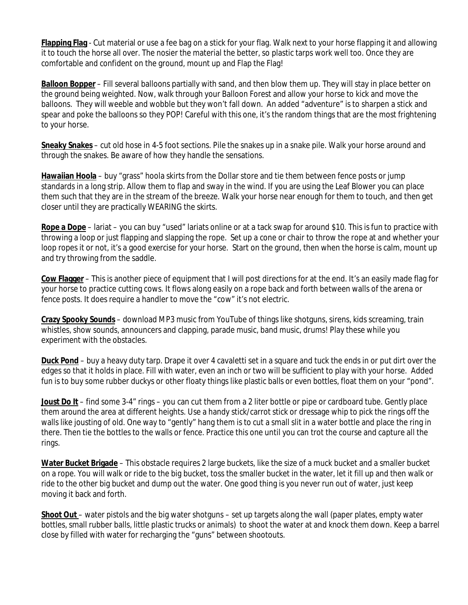**Flapping Flag** - Cut material or use a fee bag on a stick for your flag. Walk next to your horse flapping it and allowing it to touch the horse all over. The nosier the material the better, so plastic tarps work well too. Once they are comfortable and confident on the ground, mount up and Flap the Flag!

**Balloon Bopper** – Fill several balloons partially with sand, and then blow them up. They will stay in place better on the ground being weighted. Now, walk through your Balloon Forest and allow your horse to kick and move the balloons. They will weeble and wobble but they won't fall down. An added "adventure" is to sharpen a stick and spear and poke the balloons so they POP! Careful with this one, it's the random things that are the most frightening to your horse.

**Sneaky Snakes** – cut old hose in 4-5 foot sections. Pile the snakes up in a snake pile. Walk your horse around and through the snakes. Be aware of how they handle the sensations.

**Hawaiian Hoola** – buy "grass" hoola skirts from the Dollar store and tie them between fence posts or jump standards in a long strip. Allow them to flap and sway in the wind. If you are using the Leaf Blower you can place them such that they are in the stream of the breeze. Walk your horse near enough for them to touch, and then get closer until they are practically WEARING the skirts.

**Rope a Dope** – lariat – you can buy "used" lariats online or at a tack swap for around \$10. This is fun to practice with throwing a loop or just flapping and slapping the rope. Set up a cone or chair to throw the rope at and whether your loop ropes it or not, it's a good exercise for your horse. Start on the ground, then when the horse is calm, mount up and try throwing from the saddle.

**Cow Flagger** – This is another piece of equipment that I will post directions for at the end. It's an easily made flag for your horse to practice cutting cows. It flows along easily on a rope back and forth between walls of the arena or fence posts. It does require a handler to move the "cow" it's not electric.

**Crazy Spooky Sounds** – download MP3 music from YouTube of things like shotguns, sirens, kids screaming, train whistles, show sounds, announcers and clapping, parade music, band music, drums! Play these while you experiment with the obstacles.

**Duck Pond** – buy a heavy duty tarp. Drape it over 4 cavaletti set in a square and tuck the ends in or put dirt over the edges so that it holds in place. Fill with water, even an inch or two will be sufficient to play with your horse. Added fun is to buy some rubber duckys or other floaty things like plastic balls or even bottles, float them on your "pond".

**Joust Do It** – find some 3-4" rings – you can cut them from a 2 liter bottle or pipe or cardboard tube. Gently place them around the area at different heights. Use a handy stick/carrot stick or dressage whip to pick the rings off the walls like jousting of old. One way to "gently" hang them is to cut a small slit in a water bottle and place the ring in there. Then tie the bottles to the walls or fence. Practice this one until you can trot the course and capture all the rings.

**Water Bucket Brigade** – This obstacle requires 2 large buckets, like the size of a muck bucket and a smaller bucket on a rope. You will walk or ride to the big bucket, toss the smaller bucket in the water, let it fill up and then walk or ride to the other big bucket and dump out the water. One good thing is you never run out of water, just keep moving it back and forth.

**Shoot Out** – water pistols and the big water shotguns – set up targets along the wall (paper plates, empty water bottles, small rubber balls, little plastic trucks or animals) to shoot the water at and knock them down. Keep a barrel close by filled with water for recharging the "guns" between shootouts.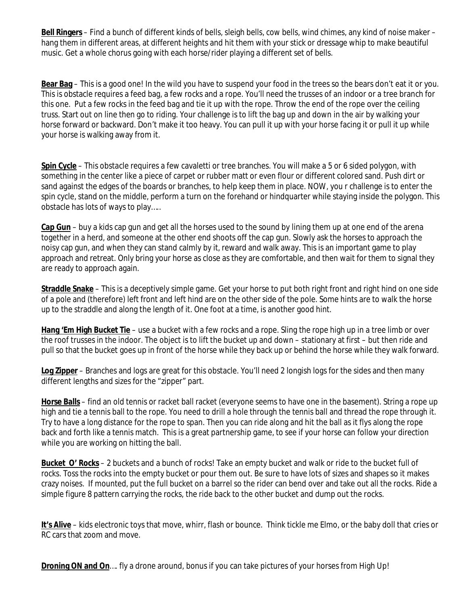**Bell Ringers** – Find a bunch of different kinds of bells, sleigh bells, cow bells, wind chimes, any kind of noise maker – hang them in different areas, at different heights and hit them with your stick or dressage whip to make beautiful music. Get a whole chorus going with each horse/rider playing a different set of bells.

**Bear Bag** – This is a good one! In the wild you have to suspend your food in the trees so the bears don't eat it or you. This is obstacle requires a feed bag, a few rocks and a rope. You'll need the trusses of an indoor or a tree branch for this one. Put a few rocks in the feed bag and tie it up with the rope. Throw the end of the rope over the ceiling truss. Start out on line then go to riding. Your challenge is to lift the bag up and down in the air by walking your horse forward or backward. Don't make it too heavy. You can pull it up with your horse facing it or pull it up while your horse is walking away from it.

**Spin Cycle** – This obstacle requires a few cavaletti or tree branches. You will make a 5 or 6 sided polygon, with something in the center like a piece of carpet or rubber matt or even flour or different colored sand. Push dirt or sand against the edges of the boards or branches, to help keep them in place. NOW, you r challenge is to enter the spin cycle, stand on the middle, perform a turn on the forehand or hindquarter while staying inside the polygon. This obstacle has lots of ways to play…..

**Cap Gun** – buy a kids cap gun and get all the horses used to the sound by lining them up at one end of the arena together in a herd, and someone at the other end shoots off the cap gun. Slowly ask the horses to approach the noisy cap gun, and when they can stand calmly by it, reward and walk away. This is an important game to play approach and retreat. Only bring your horse as close as they are comfortable, and then wait for them to signal they are ready to approach again.

**Straddle Snake** – This is a deceptively simple game. Get your horse to put both right front and right hind on one side of a pole and (therefore) left front and left hind are on the other side of the pole. Some hints are to walk the horse up to the straddle and along the length of it. One foot at a time, is another good hint.

**Hang 'Em High Bucket Tie** – use a bucket with a few rocks and a rope. Sling the rope high up in a tree limb or over the roof trusses in the indoor. The object is to lift the bucket up and down – stationary at first – but then ride and pull so that the bucket goes up in front of the horse while they back up or behind the horse while they walk forward.

**Log Zipper** – Branches and logs are great for this obstacle. You'll need 2 longish logs for the sides and then many different lengths and sizes for the "zipper" part.

**Horse Balls** – find an old tennis or racket ball racket (everyone seems to have one in the basement). String a rope up high and tie a tennis ball to the rope. You need to drill a hole through the tennis ball and thread the rope through it. Try to have a long distance for the rope to span. Then you can ride along and hit the ball as it flys along the rope back and forth like a tennis match. This is a great partnership game, to see if your horse can follow your direction while you are working on hitting the ball.

**Bucket O' Rocks** – 2 buckets and a bunch of rocks! Take an empty bucket and walk or ride to the bucket full of rocks. Toss the rocks into the empty bucket or pour them out. Be sure to have lots of sizes and shapes so it makes crazy noises. If mounted, put the full bucket on a barrel so the rider can bend over and take out all the rocks. Ride a simple figure 8 pattern carrying the rocks, the ride back to the other bucket and dump out the rocks.

**It's Alive** – kids electronic toys that move, whirr, flash or bounce. Think tickle me Elmo, or the baby doll that cries or RC cars that zoom and move.

**Droning ON and On**…. fly a drone around, bonus if you can take pictures of your horses from High Up!